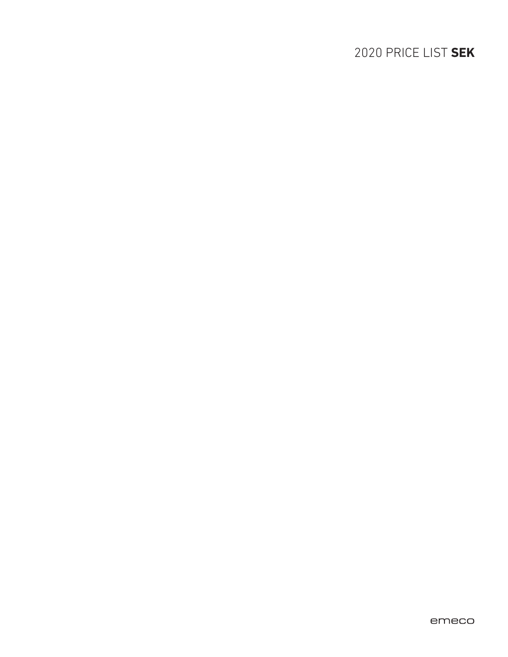# 2020 PRICE LIST **SEK**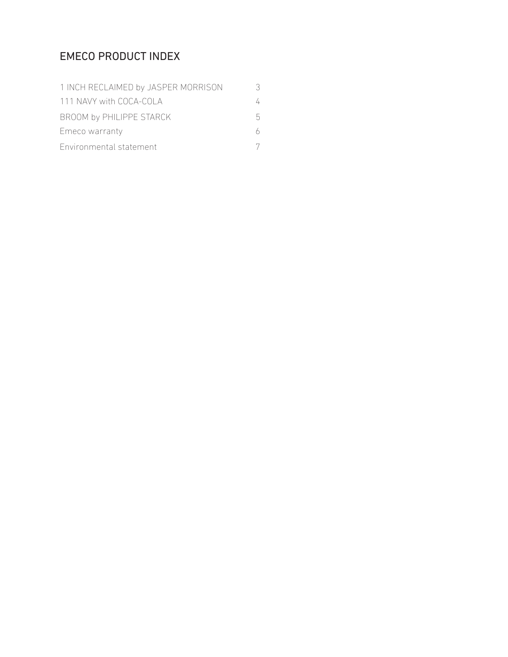## EMECO PRODUCT INDEX

| 1 INCH RECLAIMED by JASPER MORRISON |   |
|-------------------------------------|---|
| 111 NAVY with COCA-COLA             |   |
| BROOM by PHILIPPE STARCK            | h |
| Emeco warranty                      |   |
| Environmental statement             |   |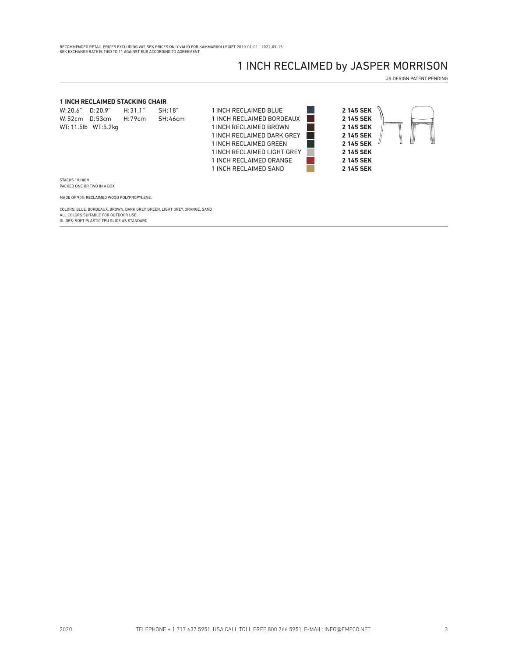### 1 INCH RECLAIMED by JASPER MORRISON

US DESIGN PATENT PENDING

#### **1 INCH RECLAIMED STACKING CHAIR**

| W: 20.6"      | D: 20.9"             | H: 31.1" | SH:18"         |
|---------------|----------------------|----------|----------------|
| W:52cm D:53cm |                      | H:79cm   | <b>SH:46cm</b> |
|               | WT: 11.5lb WT: 5.2kg |          |                |





 STACKS 10 HIGH PACKED ONE OR TWO IN A BOX

MADE OF 90% RECLAIMED WOOD POLYPROPYLENE.

COLORS: BLUE, BORDEAUX, BROWN, DARK GREY, GREEN, LIGHT GREY, ORANGE, SAND ALL COLORS SUITABLE FOR OUTDOOR USE. GLIDES: SOFT PLASTIC TPU GLIDE AS STANDARD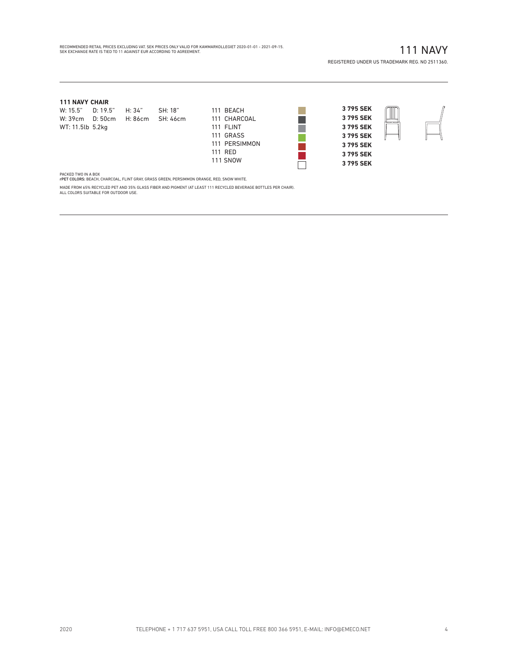### RECOMMENDED RETAIL PRICES EXCLUDING VAT. SEK PRICES ONLY VALID FOR KAMMARKOLLEGIET 2020-01-01 - 2021-09-15.<br>SEK EXCHANGE RATE IS TIED TO 11 AGAINST EUR ACCORDING TO AGREEMENT.

### 111 NAVY

REGISTERED UNDER US TRADEMARK REG. NO 2511360.

#### **111 NAVY CHAIR**

| W: 15.5"         | D: 19.5"                | H: 34" | SH: 18"  | 111 BEACH    |
|------------------|-------------------------|--------|----------|--------------|
|                  | W: 39cm D: 50cm H: 86cm |        | SH: 46cm | 111 CHARCOAL |
| WT: 11.5lb 5.2kg |                         |        |          | 111 FI INT   |

|                  | W: 15.5" D: 19.5" H: 34" |                                  | SH: 18" | 111 BEACH       |
|------------------|--------------------------|----------------------------------|---------|-----------------|
|                  |                          | W: 39cm D: 50cm H: 86cm SH: 46cm |         | 111 CHARCOAL    |
| WT: 11.5lb 5.2kg |                          |                                  |         | 111 FLINT       |
|                  |                          |                                  |         | 111 GRASS       |
|                  |                          |                                  |         | 111 PERSIMMON   |
|                  |                          |                                  |         | 111 RED         |
|                  |                          |                                  |         | <b>111 SNOW</b> |



PACKED TWO IN A BOX<br>rPET COLORS: BEACH, CHARCOAL, FLINT GRAY, GRASS GREEN, PERSIMMON ORANGE, RED, SNOW WHITE.

MADE FROM 65% RECYCLED PET AND 35% GLASS FIBER AND PIGMENT (AT LEAST 111 RECYCLED BEVERAGE BOTTLES PER CHAIR). ALL COLORS SUITABLE FOR OUTDOOR USE.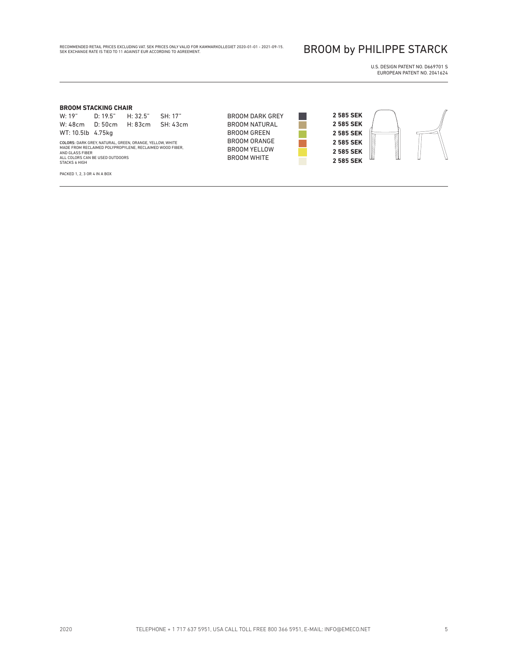RECOMMENDED RETAIL PRICES EXCLUDING VAT. SEK PRICES ONLY VALID FOR KAMMARKOLLEGIET 2020-01-01 - 2021-09-15.<br>SEK EXCHANGE RATE IS TIED TO 11 AGAINST EUR ACCORDING TO AGREEMENT.

### BROOM by PHILIPPE STARCK

U.S. DESIGN PATENT NO. D669701 S EUROPEAN PATENT NO. 2041624

#### **BROOM STACKING CHAIR**

W: 19" D: 19.5" H: 32.5" SH: 17" W: 48cm D: 50cm H: 83cm SH: 43cm WT: 10.5lb 4.75kg

COLORS: DARK GREY, NATURAL, GREEN, ORANGE, YELLOW, WHITE MADE FROM RECLAIMED POLYPROPYLENE, RECLAIMED WOOD FIBER, AND GLASS FIBER ALL COLORS CAN BE USED OUTDOORS STACKS 6 HIGH

PACKED 1, 2, 3 OR 4 IN A BOX

BROOM DARK GREY BROOM NATURAL BROOM GREEN BROOM ORANGE BROOM YELLOW BROOM WHITE

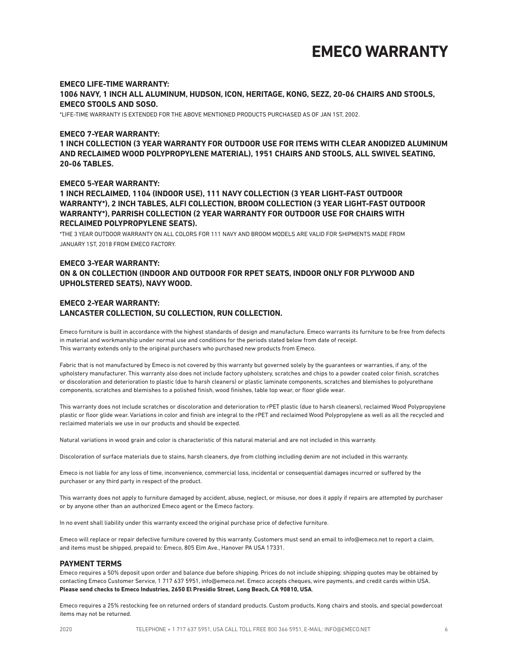# **EMECO WARRANTY**

#### **EMECO LIFE-TIME WARRANTY: 1006 NAVY, 1 INCH ALL ALUMINUM, HUDSON, ICON, HERITAGE, KONG, SEZZ, 20-06 CHAIRS AND STOOLS, EMECO STOOLS AND SOSO.**

\*LIFE-TIME WARRANTY IS EXTENDED FOR THE ABOVE MENTIONED PRODUCTS PURCHASED AS OF JAN 1ST, 2002.

#### **EMECO 7-YEAR WARRANTY:**

**1 INCH COLLECTION (3 YEAR WARRANTY FOR OUTDOOR USE FOR ITEMS WITH CLEAR ANODIZED ALUMINUM AND RECLAIMED WOOD POLYPROPYLENE MATERIAL), 1951 CHAIRS AND STOOLS, ALL SWIVEL SEATING, 20-06 TABLES.**

#### **EMECO 5-YEAR WARRANTY:**

**1 INCH RECLAIMED, 1104 (INDOOR USE), 111 NAVY COLLECTION (3 YEAR LIGHT-FAST OUTDOOR WARRANTY\*), 2 INCH TABLES, ALFI COLLECTION, BROOM COLLECTION (3 YEAR LIGHT-FAST OUTDOOR WARRANTY\*), PARRISH COLLECTION (2 YEAR WARRANTY FOR OUTDOOR USE FOR CHAIRS WITH RECLAIMED POLYPROPYLENE SEATS).**

\*THE 3 YEAR OUTDOOR WARRANTY ON ALL COLORS FOR 111 NAVY AND BROOM MODELS ARE VALID FOR SHIPMENTS MADE FROM JANUARY 1ST, 2018 FROM EMECO FACTORY.

#### **EMECO 3-YEAR WARRANTY: ON & ON COLLECTION (INDOOR AND OUTDOOR FOR RPET SEATS, INDOOR ONLY FOR PLYWOOD AND UPHOLSTERED SEATS), NAVY WOOD.**

#### **EMECO 2-YEAR WARRANTY: LANCASTER COLLECTION, SU COLLECTION, RUN COLLECTION.**

Emeco furniture is built in accordance with the highest standards of design and manufacture. Emeco warrants its furniture to be free from defects in material and workmanship under normal use and conditions for the periods stated below from date of receipt. This warranty extends only to the original purchasers who purchased new products from Emeco.

Fabric that is not manufactured by Emeco is not covered by this warranty but governed solely by the guarantees or warranties, if any, of the upholstery manufacturer. This warranty also does not include factory upholstery, scratches and chips to a powder coated color finish, scratches or discoloration and deterioration to plastic (due to harsh cleaners) or plastic laminate components, scratches and blemishes to polyurethane components, scratches and blemishes to a polished finish, wood finishes, table top wear, or floor glide wear.

This warranty does not include scratches or discoloration and deterioration to rPET plastic (due to harsh cleaners), reclaimed Wood Polypropylene plastic or floor glide wear. Variations in color and finish are integral to the rPET and reclaimed Wood Polypropylene as well as all the recycled and reclaimed materials we use in our products and should be expected.

Natural variations in wood grain and color is characteristic of this natural material and are not included in this warranty.

Discoloration of surface materials due to stains, harsh cleaners, dye from clothing including denim are not included in this warranty.

Emeco is not liable for any loss of time, inconvenience, commercial loss, incidental or consequential damages incurred or suffered by the purchaser or any third party in respect of the product.

This warranty does not apply to furniture damaged by accident, abuse, neglect, or misuse, nor does it apply if repairs are attempted by purchaser or by anyone other than an authorized Emeco agent or the Emeco factory.

In no event shall liability under this warranty exceed the original purchase price of defective furniture.

Emeco will replace or repair defective furniture covered by this warranty. Customers must send an email to info@emeco.net to report a claim, and items must be shipped, prepaid to: Emeco, 805 Elm Ave., Hanover PA USA 17331.

#### **PAYMENT TERMS**

Emeco requires a 50% deposit upon order and balance due before shipping. Prices do not include shipping; shipping quotes may be obtained by contacting Emeco Customer Service, 1 717 637 5951, info@emeco.net. Emeco accepts cheques, wire payments, and credit cards within USA. **Please send checks to Emeco Industries, 2650 El Presidio Street, Long Beach, CA 90810, USA**.

Emeco requires a 25% restocking fee on returned orders of standard products. Custom products, Kong chairs and stools, and special powdercoat items may not be returned.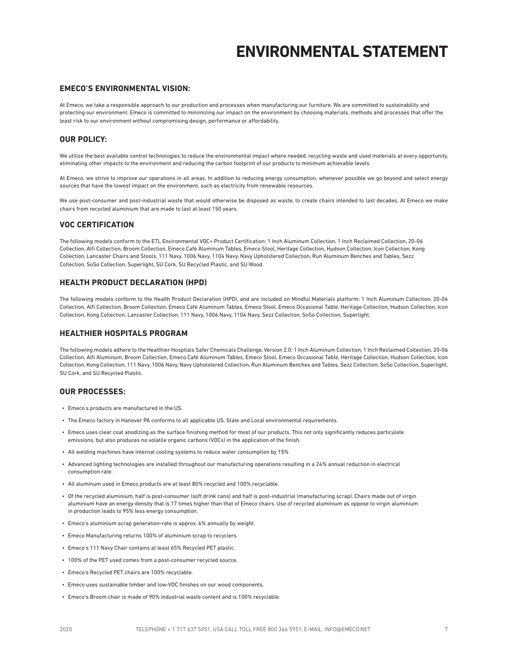# **ENVIRONMENTAL STATEMENT**

#### **EMECO'S ENVIRONMENTAL VISION:**

At Emeco, we take a responsible approach to our production and processes when manufacturing our furniture. We are committed to sustainability and protecting our environment. Emeco is committed to minimizing our impact on the environment by choosing materials, methods and processes that offer the least risk to our environment without compromising design, performance or affordability.

#### **OUR POLICY:**

We utilize the best available control technologies to reduce the environmental impact where needed, recycling waste and used materials at every opportunity, eliminating other impacts to the environment and reducing the carbon footprint of our products to minimum achievable levels.

At Emeco, we strive to improve our operations in all areas. In addition to reducing energy consumption, whenever possible we go beyond and select energy sources that have the lowest impact on the environment, such as electricity from renewable resources.

We use post-consumer and post-industrial waste that would otherwise be disposed as waste, to create chairs intended to last decades. At Emeco we make chairs from recycled aluminium that are made to last at least 150 years.

#### **VOC CERTIFICATION**

The following models conform to the ETL Environmental VOC+ Product Certification: 1 Inch Aluminum Collection, 1 Inch Reclaimed Collection, 20-06 Collection, Alfi Collection, Broom Collection, Emeco Café Aluminum Tables, Emeco Stool, Heritage Collection, Hudson Collection, Icon Collection, Kong Collection, Lancaster Chairs and Stools, 111 Navy, 1006 Navy, 1104 Navy, Navy Upholstered Collection, Run Aluminum Benches and Tables, Sezz Collection, SoSo Collection, Superlight, SU Cork, SU Recycled Plastic, and SU Wood.

#### **HEALTH PRODUCT DECLARATION (HPD)**

The following models conform to the Health Product Declaration (HPD), and are included on Mindful Materials platform: 1 Inch Aluminum Collection, 20-06 Collection, Alfi Collection, Broom Collection, Emeco Café Aluminum Tables, Emeco Stool, Emeco Occasional Table, Heritage Collection, Hudson Collection, Icon Collection, Kong Collection, Lancaster Collection, 111 Navy, 1006 Navy, 1104 Navy, Sezz Collection, SoSo Collection, Superlight.

#### **HEALTHIER HOSPITALS PROGRAM**

The following models adhere to the Healthier Hospitals Safer Chemicals Challenge, Version 2.0: 1 Inch Aluminum Collection, 1 Inch Reclaimed Collection, 20-06 Collection, Alfi Aluminum, Broom Collection, Emeco Café Aluminum Tables, Emeco Stool, Emeco Occasional Table, Heritage Collection, Hudson Collection, Icon Collection, Kong Collection, 111 Navy, 1006 Navy, Navy Upholstered Collection, Run Aluminum Benches and Tables, Sezz Collection, SoSo Collection, Superlight, SU Cork, and SU Recycled Plastic.

#### **OUR PROCESSES:**

- Emeco's products are manufactured in the US.
- The Emeco factory in Hanover PA conforms to all applicable US, State and Local environmental requirements.
- Emeco uses clear coat anodizing as the surface finishing method for most of our products. This not only significantly reduces particulate emissions, but also produces no volatile organic carbons (VOCs) in the application of the finish.
- All welding machines have internal cooling systems to reduce water consumption by 15%
- Advanced lighting technologies are installed throughout our manufacturing operations resulting in a 24% annual reduction in electrical consumption rate.
- All aluminum used in Emeco products are at least 80% recycled and 100% recyclable.
- Of the recycled aluminium, half is post-consumer (soft drink cans) and half is post-industrial (manufacturing scrap). Chairs made out of virgin aluminium have an energy density that is 17 times higher than that of Emeco chairs. Use of recycled aluminium as oppose to virgin aluminium in production leads to 95% less energy consumption.
- Emeco's aluminium scrap generation-rate is approx. 6% annually by weight.
- Emeco Manufacturing returns 100% of aluminium scrap to recyclers.
- Emeco's 111 Navy Chair contains at least 65% Recycled PET plastic.
- 100% of the PET used comes from a post-consumer recycled source.
- Emeco's Recycled PET chairs are 100% recyclable.
- Emeco uses sustainable timber and low-VOC finishes on our wood components.
- Emeco's Broom chair is made of 90% industrial waste content and is 100% recyclable.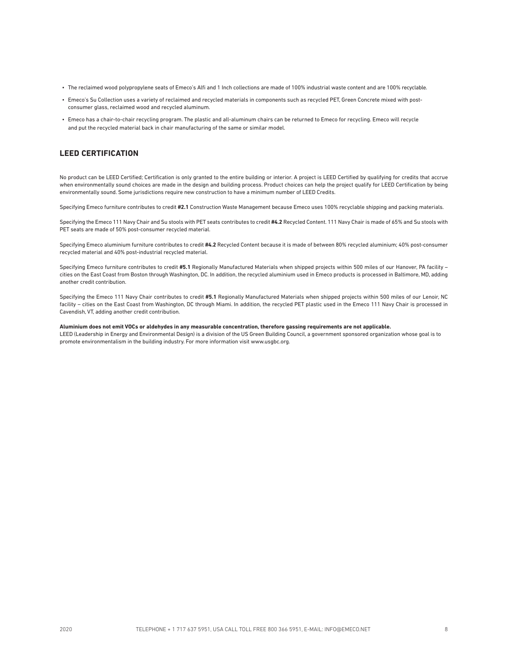- The reclaimed wood polypropylene seats of Emeco's Alfi and 1 Inch collections are made of 100% industrial waste content and are 100% recyclable.
- Emeco's Su Collection uses a variety of reclaimed and recycled materials in components such as recycled PET, Green Concrete mixed with postconsumer glass, reclaimed wood and recycled aluminum.
- Emeco has a chair-to-chair recycling program. The plastic and all-aluminum chairs can be returned to Emeco for recycling. Emeco will recycle and put the recycled material back in chair manufacturing of the same or similar model.

#### **LEED CERTIFICATION**

No product can be LEED Certified; Certification is only granted to the entire building or interior. A project is LEED Certified by qualifying for credits that accrue when environmentally sound choices are made in the design and building process. Product choices can help the project qualify for LEED Certification by being environmentally sound. Some jurisdictions require new construction to have a minimum number of LEED Credits.

Specifying Emeco furniture contributes to credit **#2.1** Construction Waste Management because Emeco uses 100% recyclable shipping and packing materials.

Specifying the Emeco 111 Navy Chair and Su stools with PET seats contributes to credit **#4.2** Recycled Content. 111 Navy Chair is made of 65% and Su stools with PET seats are made of 50% post-consumer recycled material.

Specifying Emeco aluminium furniture contributes to credit **#4.2** Recycled Content because it is made of between 80% recycled aluminium; 40% post-consumer recycled material and 40% post-industrial recycled material.

Specifying Emeco furniture contributes to credit **#5.1** Regionally Manufactured Materials when shipped projects within 500 miles of our Hanover, PA facility – cities on the East Coast from Boston through Washington, DC. In addition, the recycled aluminium used in Emeco products is processed in Baltimore, MD, adding another credit contribution.

Specifying the Emeco 111 Navy Chair contributes to credit **#5.1** Regionally Manufactured Materials when shipped projects within 500 miles of our Lenoir, NC facility – cities on the East Coast from Washington, DC through Miami. In addition, the recycled PET plastic used in the Emeco 111 Navy Chair is processed in Cavendish, VT, adding another credit contribution.

**Aluminium does not emit VOCs or aldehydes in any measurable concentration, therefore gassing requirements are not applicable.** 

LEED (Leadership in Energy and Environmental Design) is a division of the US Green Building Council, a government sponsored organization whose goal is to promote environmentalism in the building industry. For more information visit www.usgbc.org.